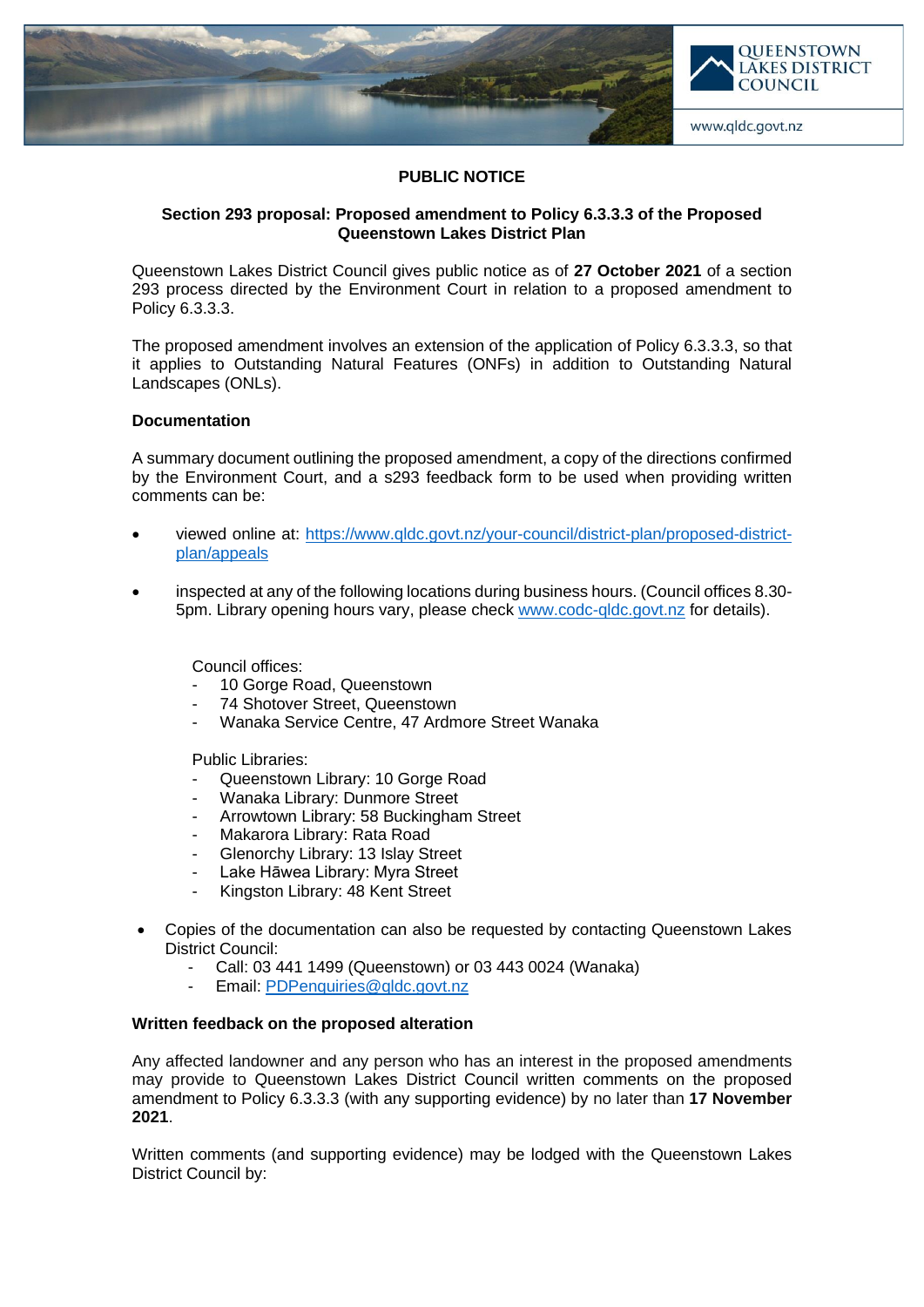

# **PUBLIC NOTICE**

# **Section 293 proposal: Proposed amendment to Policy 6.3.3.3 of the Proposed Queenstown Lakes District Plan**

Queenstown Lakes District Council gives public notice as of **27 October 2021** of a section 293 process directed by the Environment Court in relation to a proposed amendment to Policy 6.3.3.3.

The proposed amendment involves an extension of the application of Policy 6.3.3.3, so that it applies to Outstanding Natural Features (ONFs) in addition to Outstanding Natural Landscapes (ONLs).

# **Documentation**

A summary document outlining the proposed amendment, a copy of the directions confirmed by the Environment Court, and a s293 feedback form to be used when providing written comments can be:

- viewed online at: [https://www.qldc.govt.nz/your-council/district-plan/proposed-district](https://www.qldc.govt.nz/your-council/district-plan/proposed-district-plan/appeals)[plan/appeals](https://www.qldc.govt.nz/your-council/district-plan/proposed-district-plan/appeals)
- inspected at any of the following locations during business hours. (Council offices 8.30- 5pm. Library opening hours vary, please check [www.codc-qldc.govt.nz](https://codc-qldc.govt.nz/) for details).

Council offices:

- 10 Gorge Road, Queenstown
- 74 Shotover Street, Queenstown
- Wanaka Service Centre, 47 Ardmore Street Wanaka

Public Libraries:

- Queenstown Library: 10 Gorge Road
- Wanaka Library: Dunmore Street
- Arrowtown Library: 58 Buckingham Street
- Makarora Library: Rata Road
- Glenorchy Library: 13 Islay Street
- Lake Hāwea Library: Myra Street
- Kingston Library: 48 Kent Street
- Copies of the documentation can also be requested by contacting Queenstown Lakes District Council:
	- Call: 03 441 1499 (Queenstown) or 03 443 0024 (Wanaka)
	- Email: [PDPenquiries@qldc.govt.nz](mailto:PDPenquiries@qldc.govt.nz)

### **Written feedback on the proposed alteration**

Any affected landowner and any person who has an interest in the proposed amendments may provide to Queenstown Lakes District Council written comments on the proposed amendment to Policy 6.3.3.3 (with any supporting evidence) by no later than **17 November 2021**.

Written comments (and supporting evidence) may be lodged with the Queenstown Lakes District Council by: